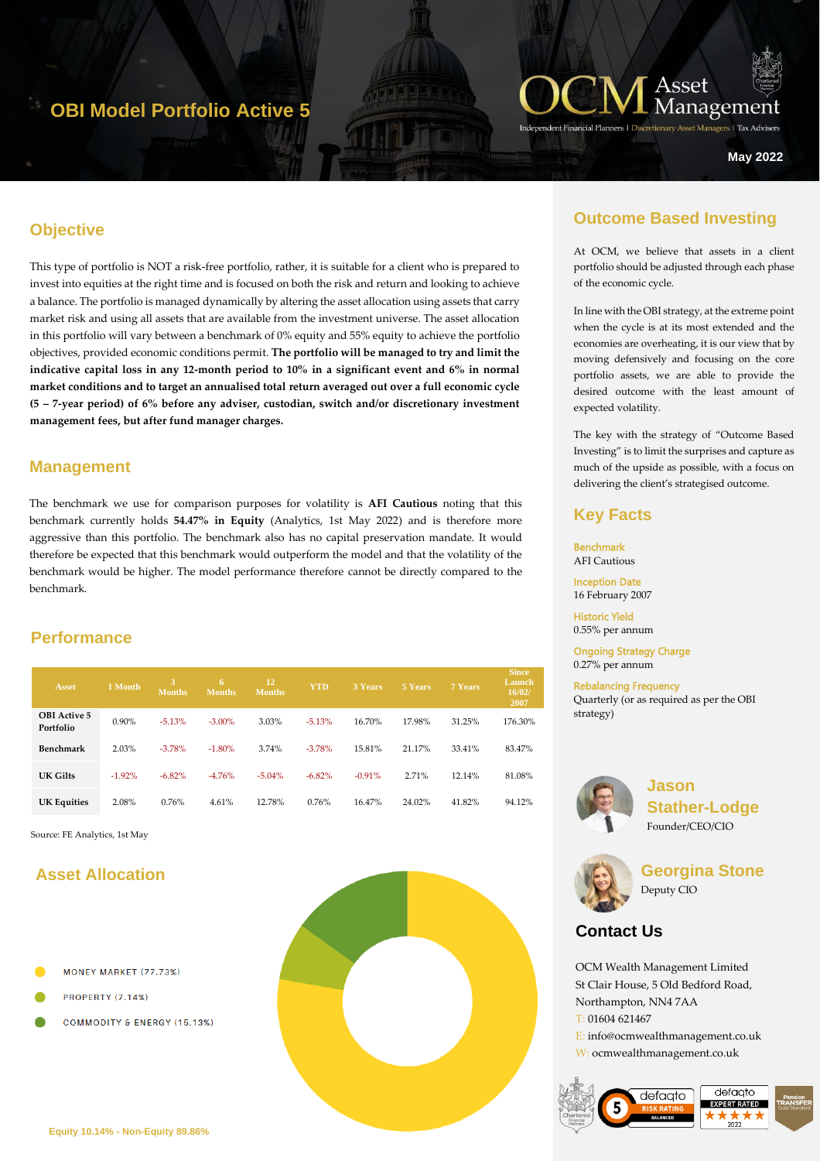# **OBI Model Portfolio Active 5**



ers | Tax Advise

**May 2022**

### **Objective**

This type of portfolio is NOT a risk-free portfolio, rather, it is suitable for a client who is prepared to invest into equities at the right time and is focused on both the risk and return and looking to achieve a balance. The portfolio is managed dynamically by altering the asset allocation using assets that carry market risk and using all assets that are available from the investment universe. The asset allocation in this portfolio will vary between a benchmark of 0% equity and 55% equity to achieve the portfolio objectives, provided economic conditions permit. **The portfolio will be managed to try and limit the indicative capital loss in any 12-month period to 10% in a significant event and 6% in normal market conditions and to target an annualised total return averaged out over a full economic cycle (5 – 7-year period) of 6% before any adviser, custodian, switch and/or discretionary investment management fees, but after fund manager charges.** 

#### **Management**

The benchmark we use for comparison purposes for volatility is **AFI Cautious** noting that this benchmark currently holds **54.47% in Equity** (Analytics, 1st May 2022) and is therefore more aggressive than this portfolio. The benchmark also has no capital preservation mandate. It would therefore be expected that this benchmark would outperform the model and that the volatility of the benchmark would be higher. The model performance therefore cannot be directly compared to the benchmark.

### **Performance**

| <b>Asset</b>                     | 1 Month  | 3<br><b>Months</b> | 6<br><b>Months</b> | 12<br>Months. | <b>YTD</b> | 3 Years  | 5 Years | 7 Years | <b>Since</b><br>Launch<br>16/02/<br>2007 |
|----------------------------------|----------|--------------------|--------------------|---------------|------------|----------|---------|---------|------------------------------------------|
| <b>OBI</b> Active 5<br>Portfolio | 0.90%    | $-5.13%$           | $-3.00\%$          | 3.03%         | $-5.13%$   | 16.70%   | 17.98%  | 31.25%  | 176.30%                                  |
| Benchmark                        | 2.03%    | $-3.78%$           | $-1.80%$           | 3.74%         | $-3.78%$   | 15.81%   | 21.17%  | 33.41%  | 83.47%                                   |
| UK Gilts                         | $-1.92%$ | $-6.82%$           | $-4.76%$           | $-5.04%$      | $-6.82%$   | $-0.91%$ | 2.71%   | 12.14%  | 81.08%                                   |
| <b>UK Equities</b>               | 2.08%    | 0.76%              | 4.61%              | 12.78%        | 0.76%      | 16.47%   | 24.02%  | 41.82%  | 94.12%                                   |

Source: FE Analytics, 1st May

## **Asset Allocation**

- MONEY MARKET (77.73%)
- PROPERTY (7.14%)
- **COMMODITY & ENERGY (15.13%)**



### **Outcome Based Investing**

At OCM, we believe that assets in a client portfolio should be adjusted through each phase of the economic cycle.

In line with the OBI strategy, at the extreme point when the cycle is at its most extended and the economies are overheating, it is our view that by moving defensively and focusing on the core portfolio assets, we are able to provide the desired outcome with the least amount of expected volatility.

The key with the strategy of "Outcome Based Investing" is to limit the surprises and capture as much of the upside as possible, with a focus on delivering the client's strategised outcome.

### **Key Facts**

Benchmark AFI Cautious Inception Date

16 February 2007

Historic Yield 0.55% per annum

Ongoing Strategy Charge 0.27% per annum

Rebalancing Frequency Quarterly (or as required as per the OBI strategy)



**Jason Stather-Lodge** Founder/CEO/CIO



**Georgina Stone** Deputy CIO

# **Contact Us**

OCM Wealth Management Limited St Clair House, 5 Old Bedford Road, Northampton, NN4 7AA T: 01604 621467 E: info@ocmwealthmanagement.co.uk W: ocmwealthmanagement.co.uk